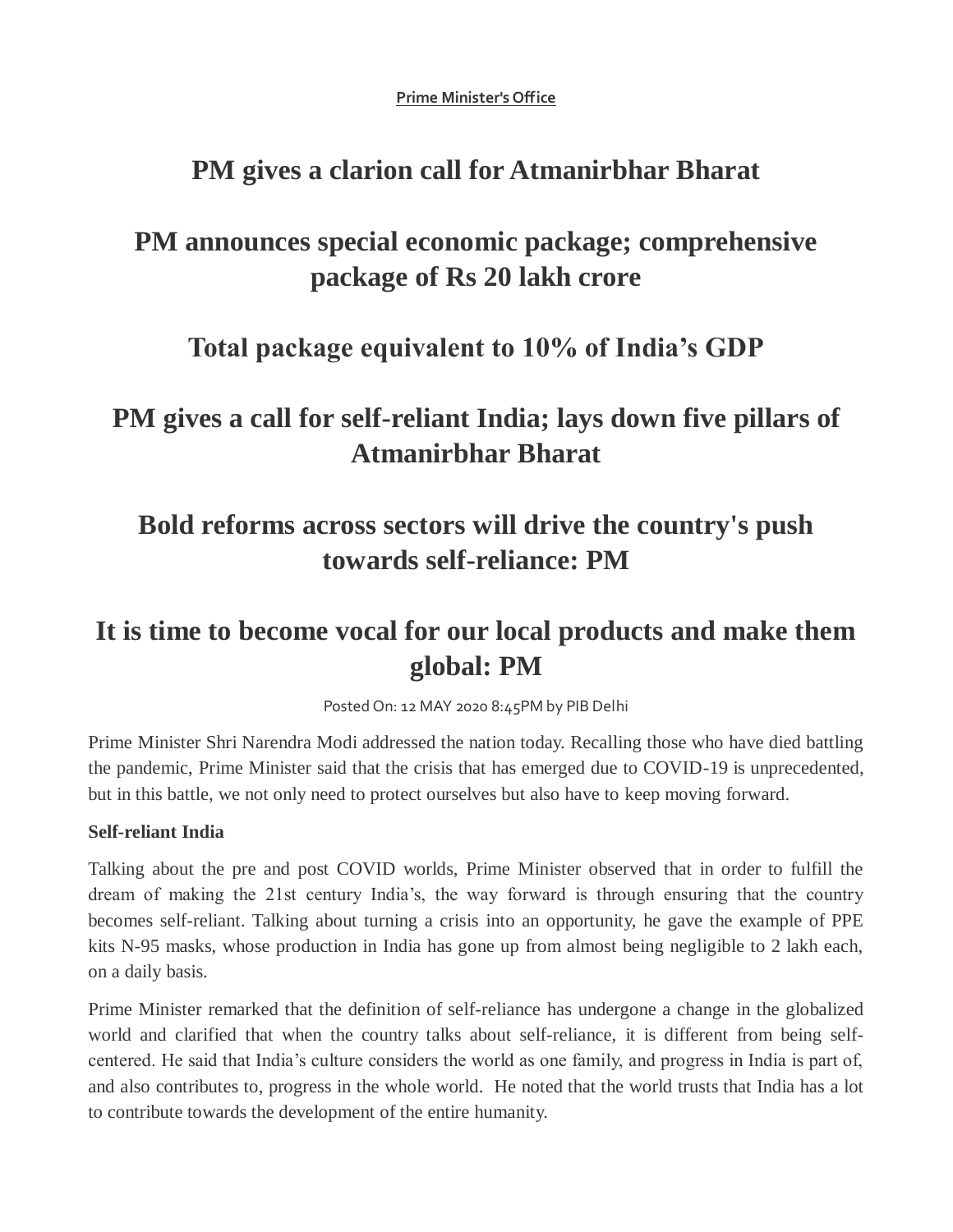**Prime Minister's Office**

### **PM gives a clarion call for Atmanirbhar Bharat**

## **PM announces special economic package; comprehensive package of Rs 20 lakh crore**

### **Total package equivalent to 10% of India's GDP**

# **PM gives a call for self-reliant India; lays down five pillars of Atmanirbhar Bharat**

# **Bold reforms across sectors will drive the country's push towards self-reliance: PM**

# **It is time to become vocal for our local products and make them global: PM**

Posted On: 12 MAY 2020 8:45PM by PIB Delhi

Prime Minister Shri Narendra Modi addressed the nation today. Recalling those who have died battling the pandemic, Prime Minister said that the crisis that has emerged due to COVID-19 is unprecedented, but in this battle, we not only need to protect ourselves but also have to keep moving forward.

#### **Self-reliant India**

Talking about the pre and post COVID worlds, Prime Minister observed that in order to fulfill the dream of making the 21st century India's, the way forward is through ensuring that the country becomes self-reliant. Talking about turning a crisis into an opportunity, he gave the example of PPE kits N-95 masks, whose production in India has gone up from almost being negligible to 2 lakh each, on a daily basis.

Prime Minister remarked that the definition of self-reliance has undergone a change in the globalized world and clarified that when the country talks about self-reliance, it is different from being selfcentered. He said that India's culture considers the world as one family, and progress in India is part of, and also contributes to, progress in the whole world. He noted that the world trusts that India has a lot to contribute towards the development of the entire humanity.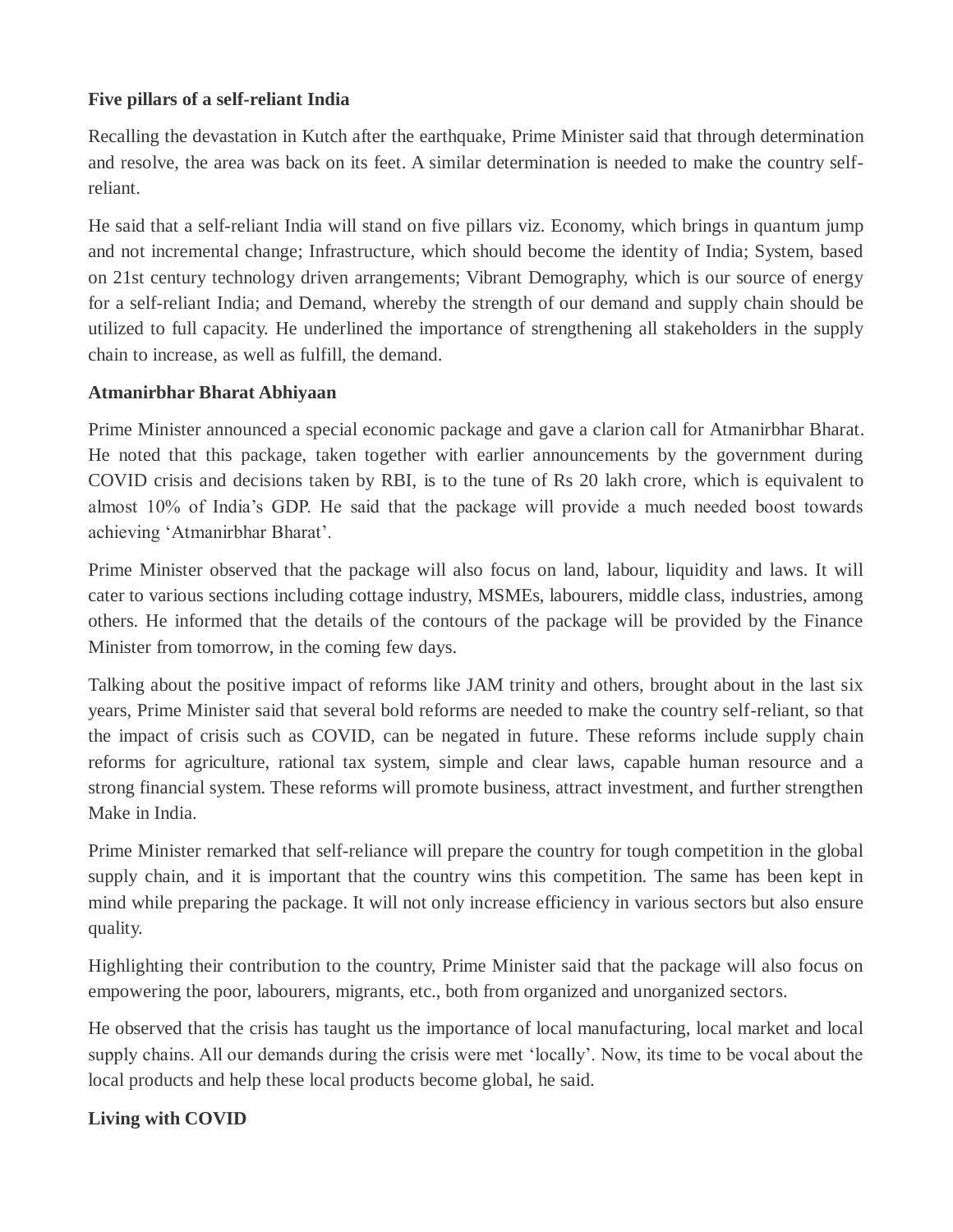#### **Five pillars of a self-reliant India**

Recalling the devastation in Kutch after the earthquake, Prime Minister said that through determination and resolve, the area was back on its feet. A similar determination is needed to make the country selfreliant.

He said that a self-reliant India will stand on five pillars viz. Economy, which brings in quantum jump and not incremental change; Infrastructure, which should become the identity of India; System, based on 21st century technology driven arrangements; Vibrant Demography, which is our source of energy for a self-reliant India; and Demand, whereby the strength of our demand and supply chain should be utilized to full capacity. He underlined the importance of strengthening all stakeholders in the supply chain to increase, as well as fulfill, the demand.

#### **Atmanirbhar Bharat Abhiyaan**

Prime Minister announced a special economic package and gave a clarion call for Atmanirbhar Bharat. He noted that this package, taken together with earlier announcements by the government during COVID crisis and decisions taken by RBI, is to the tune of Rs 20 lakh crore, which is equivalent to almost 10% of India's GDP. He said that the package will provide a much needed boost towards achieving 'Atmanirbhar Bharat'.

Prime Minister observed that the package will also focus on land, labour, liquidity and laws. It will cater to various sections including cottage industry, MSMEs, labourers, middle class, industries, among others. He informed that the details of the contours of the package will be provided by the Finance Minister from tomorrow, in the coming few days.

Talking about the positive impact of reforms like JAM trinity and others, brought about in the last six years, Prime Minister said that several bold reforms are needed to make the country self-reliant, so that the impact of crisis such as COVID, can be negated in future. These reforms include supply chain reforms for agriculture, rational tax system, simple and clear laws, capable human resource and a strong financial system. These reforms will promote business, attract investment, and further strengthen Make in India.

Prime Minister remarked that self-reliance will prepare the country for tough competition in the global supply chain, and it is important that the country wins this competition. The same has been kept in mind while preparing the package. It will not only increase efficiency in various sectors but also ensure quality.

Highlighting their contribution to the country, Prime Minister said that the package will also focus on empowering the poor, labourers, migrants, etc., both from organized and unorganized sectors.

He observed that the crisis has taught us the importance of local manufacturing, local market and local supply chains. All our demands during the crisis were met 'locally'. Now, its time to be vocal about the local products and help these local products become global, he said.

#### **Living with COVID**